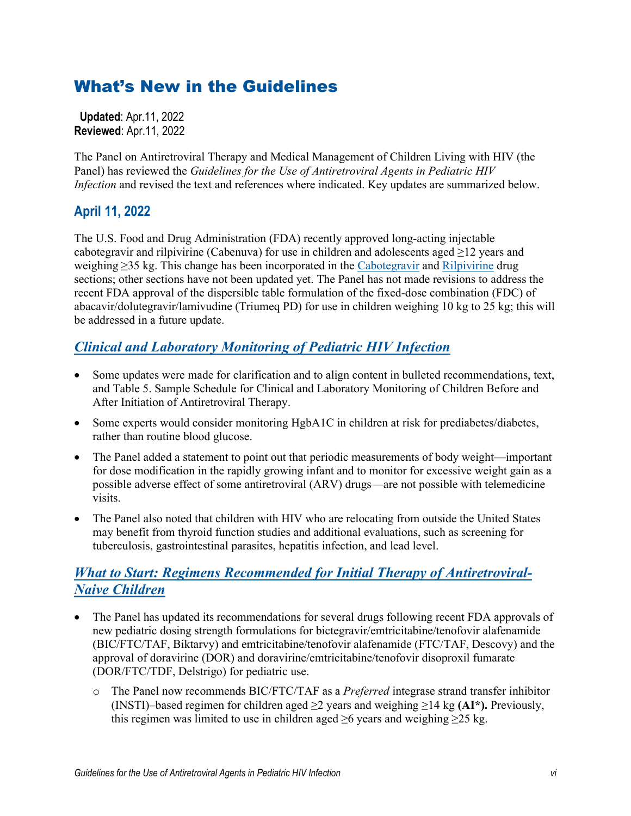# What's New in the Guidelines

 **Updated**: Apr.11, 2022 **Reviewed**: Apr.11, 2022

The Panel on Antiretroviral Therapy and Medical Management of Children Living with HIV (the Panel) has reviewed the *Guidelines for the Use of Antiretroviral Agents in Pediatric HIV Infection* and revised the text and references where indicated. Key updates are summarized below.

### **April 11, 2022**

The U.S. Food and Drug Administration (FDA) recently approved long-acting injectable cabotegravir and rilpivirine (Cabenuva) for use in children and adolescents aged  $\geq$ 12 years and weighing ≥35 kg. This change has been incorporated in the [Cabotegravir](https://clinicalinfo.hiv.gov/en/guidelines/pediatric-arv/cabotegravir?view=full) and [Rilpivirine](https://clinicalinfo.hiv.gov/en/guidelines/pediatric-arv/rilpivirine?view=full) drug sections; other sections have not been updated yet. The Panel has not made revisions to address the recent FDA approval of the dispersible table formulation of the fixed-dose combination (FDC) of abacavir/dolutegravir/lamivudine (Triumeq PD) for use in children weighing 10 kg to 25 kg; this will be addressed in a future update.

### *Clinical [and Laboratory Monitoring](https://clinicalinfo.hiv.gov/en/guidelines/pediatric-arv/clinical-and-laboratory-monitoring-pediatric-hiv-infection?view=full) of Pediatric HIV Infection*

- Some updates were made for clarification and to align content in bulleted recommendations, text, and Table 5. Sample Schedule for Clinical and Laboratory Monitoring of Children Before and After Initiation of Antiretroviral Therapy.
- Some experts would consider monitoring HgbA1C in children at risk for prediabetes/diabetes, rather than routine blood glucose.
- The Panel added a statement to point out that periodic measurements of body weight—important for dose modification in the rapidly growing infant and to monitor for excessive weight gain as a possible adverse effect of some antiretroviral (ARV) drugs—are not possible with telemedicine visits.
- The Panel also noted that children with HIV who are relocating from outside the United States may benefit from thyroid function studies and additional evaluations, such as screening for tuberculosis, gastrointestinal parasites, hepatitis infection, and lead level.

#### *[What to Start: Regimens Recommended for Initial Therapy of Antiretroviral-](https://clinicalinfo.hiv.gov/en/guidelines/pediatric-arv/regimens-recommended-initial-therapy-antiretroviral-naive-children?view=full)[Naive Children](https://clinicalinfo.hiv.gov/en/guidelines/pediatric-arv/regimens-recommended-initial-therapy-antiretroviral-naive-children?view=full)*

- The Panel has updated its recommendations for several drugs following recent FDA approvals of new pediatric dosing strength formulations for bictegravir/emtricitabine/tenofovir alafenamide (BIC/FTC/TAF, Biktarvy) and emtricitabine/tenofovir alafenamide (FTC/TAF, Descovy) and the approval of doravirine (DOR) and doravirine/emtricitabine/tenofovir disoproxil fumarate (DOR/FTC/TDF, Delstrigo) for pediatric use.
	- o The Panel now recommends BIC/FTC/TAF as a *Preferred* integrase strand transfer inhibitor (INSTI)–based regimen for children aged ≥2 years and weighing ≥14 kg **(AI\*).** Previously, this regimen was limited to use in children aged  $\geq 6$  years and weighing  $\geq 25$  kg.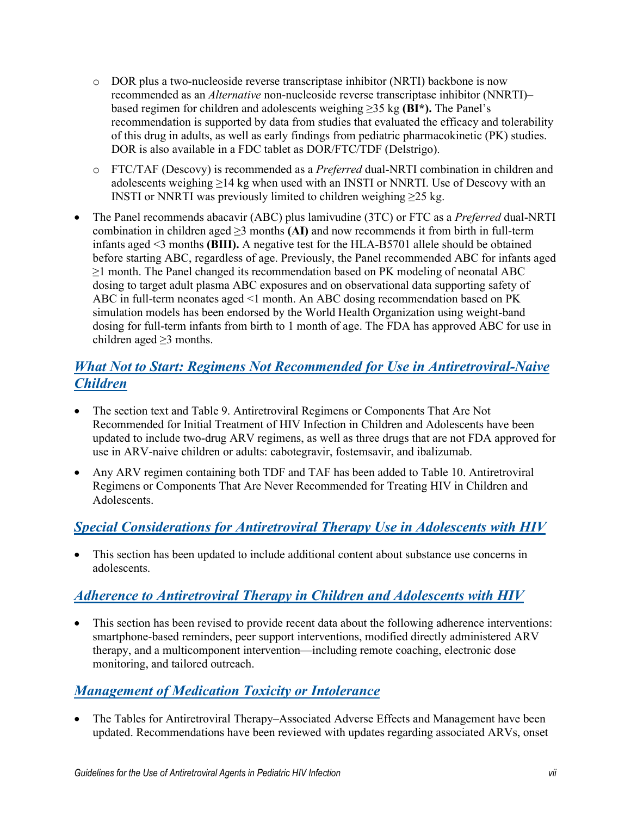- o DOR plus a two-nucleoside reverse transcriptase inhibitor (NRTI) backbone is now recommended as an *Alternative* non-nucleoside reverse transcriptase inhibitor (NNRTI)– based regimen for children and adolescents weighing ≥35 kg **(BI\*).** The Panel's recommendation is supported by data from studies that evaluated the efficacy and tolerability of this drug in adults, as well as early findings from pediatric pharmacokinetic (PK) studies. DOR is also available in a FDC tablet as DOR/FTC/TDF (Delstrigo).
- o FTC/TAF (Descovy) is recommended as a *Preferred* dual-NRTI combination in children and adolescents weighing  $\geq$ 14 kg when used with an INSTI or NNRTI. Use of Descovy with an INSTI or NNRTI was previously limited to children weighing  $\geq$ 25 kg.
- The Panel recommends abacavir (ABC) plus lamivudine (3TC) or FTC as a *Preferred* dual-NRTI combination in children aged  $\geq$ 3 months **(AI)** and now recommends it from birth in full-term infants aged <3 months **(BIII).** A negative test for the HLA-B5701 allele should be obtained before starting ABC, regardless of age. Previously, the Panel recommended ABC for infants aged ≥1 month. The Panel changed its recommendation based on PK modeling of neonatal ABC dosing to target adult plasma ABC exposures and on observational data supporting safety of ABC in full-term neonates aged <1 month. An ABC dosing recommendation based on PK simulation models has been endorsed by the World Health Organization using weight-band dosing for full-term infants from birth to 1 month of age. The FDA has approved ABC for use in children aged  $\geq$ 3 months.

#### *[What Not to Start: Regimens Not Recommended for Use in Antiretroviral-Naive](https://clinicalinfo.hiv.gov/en/guidelines/pediatric-arv/regimens-not-recommended-initial-therapy-antiretroviral-naive-children?view=full)  [Children](https://clinicalinfo.hiv.gov/en/guidelines/pediatric-arv/regimens-not-recommended-initial-therapy-antiretroviral-naive-children?view=full)*

- The section text and Table 9. Antiretroviral Regimens or Components That Are Not Recommended for Initial Treatment of HIV Infection in Children and Adolescents have been updated to include two-drug ARV regimens, as well as three drugs that are not FDA approved for use in ARV-naive children or adults: cabotegravir, fostemsavir, and ibalizumab.
- Any ARV regimen containing both TDF and TAF has been added to Table 10. Antiretroviral Regimens or Components That Are Never Recommended for Treating HIV in Children and Adolescents.

## *[Special Considerations for Antiretroviral Therapy Use in Adolescents with HIV](https://clinicalinfo.hiv.gov/en/guidelines/pediatric-arv/specific-considerations-antiretroviral-therapy-use-adolescents-hiv?view=full)*

• This section has been updated to include additional content about substance use concerns in adolescents.

## *[Adherence to Antiretroviral Therapy in Children and Adolescents with HIV](https://clinicalinfo.hiv.gov/en/guidelines/pediatric-arv/adherence-antiretroviral-therapy-children-and-adolescents-living-hiv?view=full)*

• This section has been revised to provide recent data about the following adherence interventions: smartphone-based reminders, peer support interventions, modified directly administered ARV therapy, and a multicomponent intervention—including remote coaching, electronic dose monitoring, and tailored outreach.

### *[Management of Medication Toxicity or Intolerance](https://clinicalinfo.hiv.gov/en/guidelines/pediatric-arv/overview-1?view=full)*

• The Tables for Antiretroviral Therapy–Associated Adverse Effects and Management have been updated. Recommendations have been reviewed with updates regarding associated ARVs, onset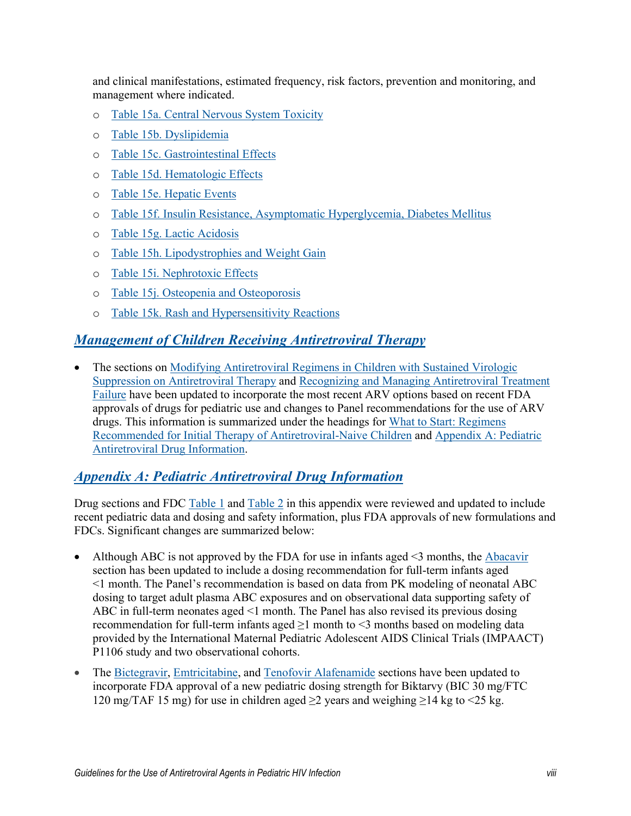and clinical manifestations, estimated frequency, risk factors, prevention and monitoring, and management where indicated.

- o [Table 15a. Central Nervous System Toxicity](https://clinicalinfo.hiv.gov/en/guidelines/pediatric-arv/cns-toxicity-full)
- o [Table 15b. Dyslipidemia](https://clinicalinfo.hiv.gov/en/guidelines/pediatric-arv/dyslipidemia-full)
- o [Table 15c. Gastrointestinal Effects](https://clinicalinfo.hiv.gov/en/guidelines/pediatric-arv/gastrointestinal-effects-full)
- o [Table 15d. Hematologic Effects](https://clinicalinfo.hiv.gov/en/guidelines/pediatric-arv/hematologic-effects-full)
- o [Table 15e. Hepatic Events](https://clinicalinfo.hiv.gov/en/guidelines/pediatric-arv/hepatic-events-full)
- o [Table 15f. Insulin Resistance, Asymptomatic Hyperglycemia, Diabetes Mellitus](https://clinicalinfo.hiv.gov/en/guidelines/pediatric-arv/insulin-resistance-asymptomatic-hyperglycemia-diabetes-mellitus-full)
- o [Table 15g. Lactic Acidosis](https://clinicalinfo.hiv.gov/en/guidelines/pediatric-arv/lactic-acidosis-full)
- o [Table 15h. Lipodystrophies and Weight Gain](https://clinicalinfo.hiv.gov/en/guidelines/pediatric-arv/lipodystrophies-and-weight-gain-full)
- o [Table 15i. Nephrotoxic Effects](https://clinicalinfo.hiv.gov/en/guidelines/pediatric-arv/nephrotoxic-effects-full)
- o [Table 15j. Osteopenia and Osteoporosis](https://clinicalinfo.hiv.gov/en/guidelines/pediatric-arv/osteopenia-and-osteoporosis-full)
- o [Table 15k. Rash and Hypersensitivity Reactions](https://clinicalinfo.hiv.gov/en/guidelines/pediatric-arv/rash-and-hypersensitivity-reactions-full)

#### *[Management of Children Receiving Antiretroviral Therapy](https://clinicalinfo.hiv.gov/en/guidelines/pediatric-arv/overview-2?view=full)*

• The sections on [Modifying Antiretroviral Regimens in Children with Sustained Virologic](https://clinicalinfo.hiv.gov/en/guidelines/pediatric-arv/modifying-antiretroviral-regimens-children-sustained-virologic-suppression?view=full)  [Suppression on Antiretroviral Therapy](https://clinicalinfo.hiv.gov/en/guidelines/pediatric-arv/modifying-antiretroviral-regimens-children-sustained-virologic-suppression?view=full) and [Recognizing and Managing Antiretroviral Treatment](https://clinicalinfo.hiv.gov/en/guidelines/pediatric-arv/recognizing-and-managing-antiretroviral-treatment-failure?view=full)  [Failure](https://clinicalinfo.hiv.gov/en/guidelines/pediatric-arv/recognizing-and-managing-antiretroviral-treatment-failure?view=full) have been updated to incorporate the most recent ARV options based on recent FDA approvals of drugs for pediatric use and changes to Panel recommendations for the use of ARV drugs. This information is summarized under the headings for [What to Start: Regimens](https://clinicalinfo.hiv.gov/en/guidelines/pediatric-arv/regimens-recommended-initial-therapy-antiretroviral-naive-children?view=full)  [Recommended for Initial Therapy of Antiretroviral-Naive Children](https://clinicalinfo.hiv.gov/en/guidelines/pediatric-arv/regimens-recommended-initial-therapy-antiretroviral-naive-children?view=full) and [Appendix A: Pediatric](https://clinicalinfo.hiv.gov/en/guidelines/pediatric-arv/overview-0?view=full)  [Antiretroviral Drug Information.](https://clinicalinfo.hiv.gov/en/guidelines/pediatric-arv/overview-0?view=full)

#### *[Appendix A: Pediatric Antiretroviral Drug Information](https://clinicalinfo.hiv.gov/en/guidelines/pediatric-arv/overview-0?view=full)*

Drug sections and FDC [Table 1](https://clinicalinfo.hiv.gov/en/table/appendix-table-1-antiretrovirals-available-fixed-dose-combination-tablets) and [Table 2](https://clinicalinfo.hiv.gov/en/guidelines/pediatric-arv/appendix-table-2-antiretroviral-fixed-dose-combination-tablets-minimum?view=full) in this appendix were reviewed and updated to include recent pediatric data and dosing and safety information, plus FDA approvals of new formulations and FDCs. Significant changes are summarized below:

- Although ABC is not approved by the FDA for use in infants aged  $\leq$  months, the [Abacavir](https://clinicalinfo.hiv.gov/en/guidelines/pediatric-arv/abacavir) section has been updated to include a dosing recommendation for full-term infants aged <1 month. The Panel's recommendation is based on data from PK modeling of neonatal ABC dosing to target adult plasma ABC exposures and on observational data supporting safety of ABC in full-term neonates aged <1 month. The Panel has also revised its previous dosing recommendation for full-term infants aged ≥1 month to <3 months based on modeling data provided by the International Maternal Pediatric Adolescent AIDS Clinical Trials (IMPAACT) P1106 study and two observational cohorts.
- The [Bictegravir,](https://clinicalinfo.hiv.gov/en/guidelines/pediatric-arv/bictegravir) [Emtricitabine,](https://clinicalinfo.hiv.gov/en/guidelines/pediatric-arv/emtricitabine) and Tenofovir [Alafenamide](https://clinicalinfo.hiv.gov/en/guidelines/pediatric-arv/tenofovir-af) sections have been updated to incorporate FDA approval of a new pediatric dosing strength for Biktarvy (BIC 30 mg/FTC 120 mg/TAF 15 mg) for use in children aged  $\geq$ 2 years and weighing  $\geq$ 14 kg to  $\lt$ 25 kg.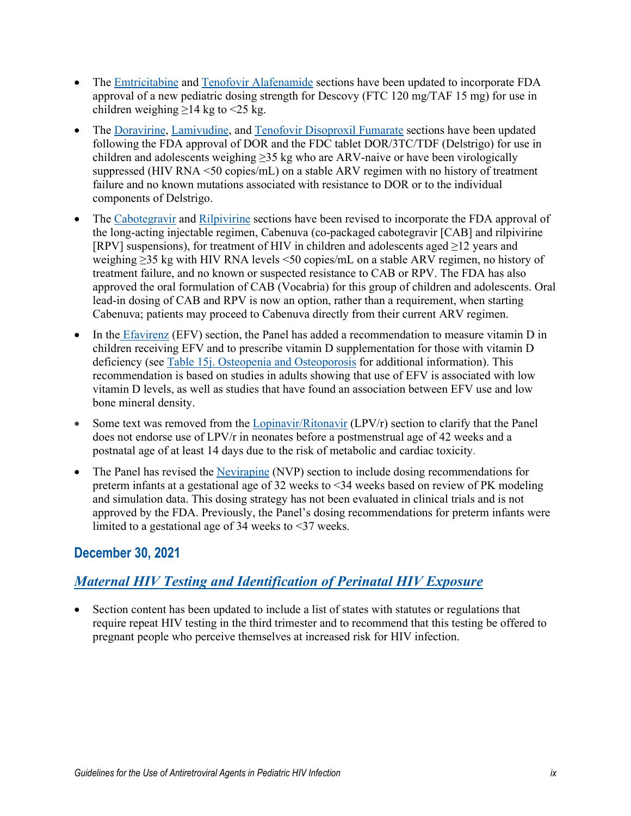- The [Emtricitabine](https://clinicalinfo.hiv.gov/en/guidelines/pediatric-arv/emtricitabine) and Tenofovir [Alafenamide](https://clinicalinfo.hiv.gov/en/guidelines/pediatric-arv/tenofovir-af) sections have been updated to incorporate FDA approval of a new pediatric dosing strength for Descovy (FTC 120 mg/TAF 15 mg) for use in children weighing  $\geq$ 14 kg to <25 kg.
- The [Doravirine,](https://clinicalinfo.hiv.gov/en/guidelines/pediatric-arv/doravirine?view=full) [Lamivudine,](https://clinicalinfo.hiv.gov/en/guidelines/pediatric-arv/lamivudine?view=full) and [Tenofovir Disoproxil Fumarate](https://clinicalinfo.hiv.gov/en/guidelines/pediatric-arv/tenofovir-df?view=full) sections have been updated following the FDA approval of DOR and the FDC tablet DOR/3TC/TDF (Delstrigo) for use in children and adolescents weighing  $\geq$ 35 kg who are ARV-naive or have been virologically suppressed (HIV RNA <50 copies/mL) on a stable ARV regimen with no history of treatment failure and no known mutations associated with resistance to DOR or to the individual components of Delstrigo.
- The [Cabotegravir](https://clinicalinfo.hiv.gov/en/guidelines/pediatric-arv/cabotegravir?view=full) and [Rilpivirine](https://clinicalinfo.hiv.gov/en/guidelines/pediatric-arv/rilpivirine?view=full) sections have been revised to incorporate the FDA approval of the long-acting injectable regimen, Cabenuva (co-packaged cabotegravir [CAB] and rilpivirine [RPV] suspensions), for treatment of HIV in children and adolescents aged  $\geq$ 12 years and weighing ≥35 kg with HIV RNA levels <50 copies/mL on a stable ARV regimen, no history of treatment failure, and no known or suspected resistance to CAB or RPV. The FDA has also approved the oral formulation of CAB (Vocabria) for this group of children and adolescents. Oral lead-in dosing of CAB and RPV is now an option, rather than a requirement, when starting Cabenuva; patients may proceed to Cabenuva directly from their current ARV regimen.
- In the [Efavirenz](https://clinicalinfo.hiv.gov/en/guidelines/pediatric-arv/efavirenz) (EFV) section, the Panel has added a recommendation to measure vitamin D in children receiving EFV and to prescribe vitamin D supplementation for those with vitamin D deficiency (see [Table 15j. Osteopenia and Osteoporosis](https://clinicalinfo.hiv.gov/en/table/table-15j-antiretroviral-therapy-associated-adverse-effects-and-management-recommendations) for additional information). This recommendation is based on studies in adults showing that use of EFV is associated with low vitamin D levels, as well as studies that have found an association between EFV use and low bone mineral density.
- Some text was removed from the [Lopinavir/Ritonavir](https://clinicalinfo.hiv.gov/en/guidelines/pediatric-arv/lopinavirritonavir) (LPV/r) section to clarify that the Panel does not endorse use of LPV/r in neonates before a postmenstrual age of 42 weeks and a postnatal age of at least 14 days due to the risk of metabolic and cardiac toxicity.
- The Panel has revised the [Nevirapine](https://clinicalinfo.hiv.gov/en/guidelines/pediatric-arv/nevirapine) (NVP) section to include dosing recommendations for preterm infants at a gestational age of 32 weeks to <34 weeks based on review of PK modeling and simulation data. This dosing strategy has not been evaluated in clinical trials and is not approved by the FDA. Previously, the Panel's dosing recommendations for preterm infants were limited to a gestational age of 34 weeks to <37 weeks.

### **December 30, 2021**

## *[Maternal HIV Testing and Identification of Perinatal HIV Exposure](https://clinicalinfo.hiv.gov/en/guidelines/pediatric-arv/maternal-hiv-testing-and-identification-perinatal-hiv-exposure?view=full)*

• Section content has been updated to include a list of states with statutes or regulations that require repeat HIV testing in the third trimester and to recommend that this testing be offered to pregnant people who perceive themselves at increased risk for HIV infection.